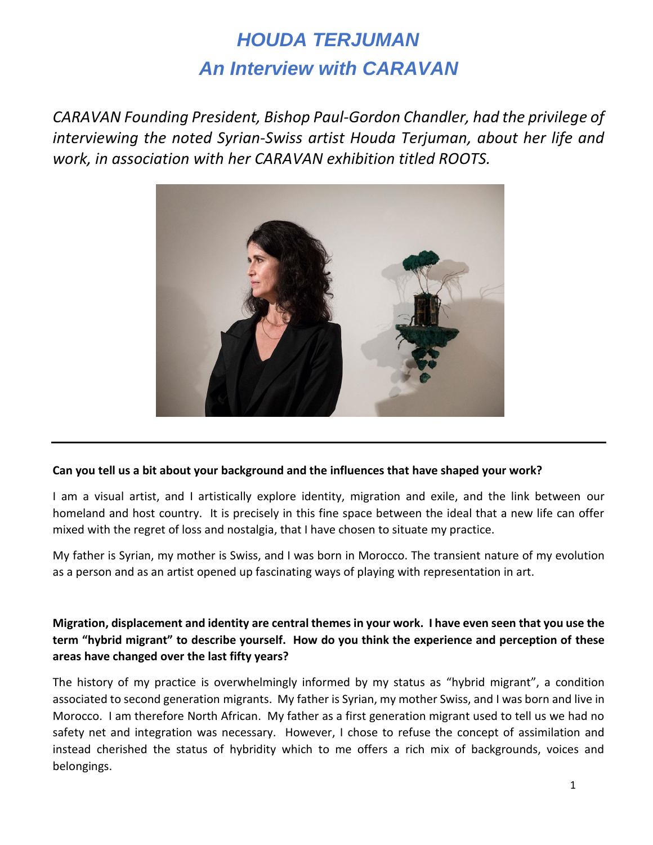# *HOUDA TERJUMAN An Interview with CARAVAN*

*CARAVAN Founding President, Bishop Paul-Gordon Chandler, had the privilege of interviewing the noted Syrian-Swiss artist Houda Terjuman, about her life and work, in association with her CARAVAN exhibition titled ROOTS.* 



#### **Can you tell us a bit about your background and the influences that have shaped your work?**

I am a visual artist, and I artistically explore identity, migration and exile, and the link between our homeland and host country. It is precisely in this fine space between the ideal that a new life can offer mixed with the regret of loss and nostalgia, that I have chosen to situate my practice.

My father is Syrian, my mother is Swiss, and I was born in Morocco. The transient nature of my evolution as a person and as an artist opened up fascinating ways of playing with representation in art.

# **Migration, displacement and identity are central themes in your work. I have even seen that you use the term "hybrid migrant" to describe yourself. How do you think the experience and perception of these areas have changed over the last fifty years?**

The history of my practice is overwhelmingly informed by my status as "hybrid migrant", a condition associated to second generation migrants. My father is Syrian, my mother Swiss, and I was born and live in Morocco. I am therefore North African. My father as a first generation migrant used to tell us we had no safety net and integration was necessary. However, I chose to refuse the concept of assimilation and instead cherished the status of hybridity which to me offers a rich mix of backgrounds, voices and belongings.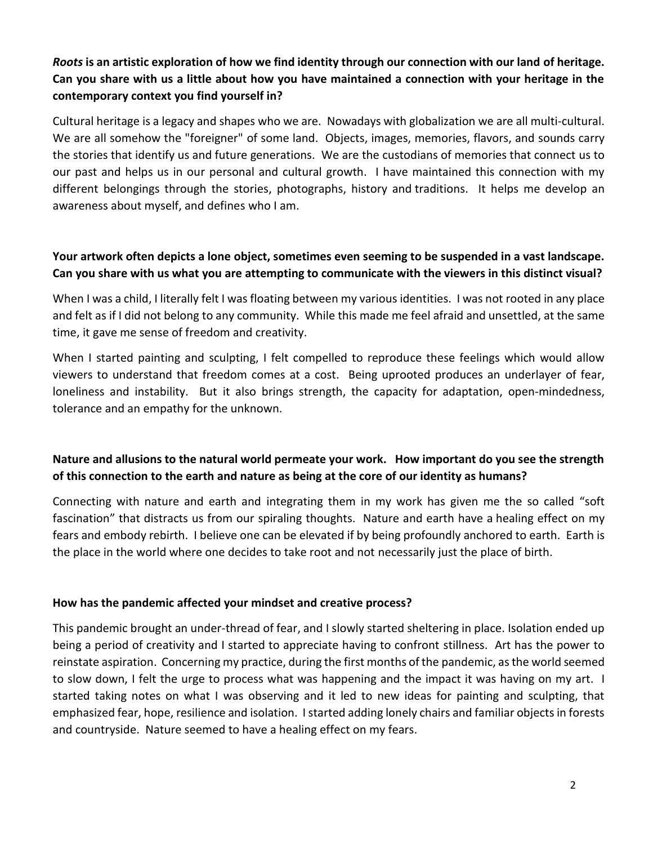# *Roots* **is an artistic exploration of how we find identity through our connection with our land of heritage. Can you share with us a little about how you have maintained a connection with your heritage in the contemporary context you find yourself in?**

Cultural heritage is a legacy and shapes who we are. Nowadays with globalization we are all multi-cultural. We are all somehow the "foreigner" of some land. Objects, images, memories, flavors, and sounds carry the stories that identify us and future generations. We are the custodians of memories that connect us to our past and helps us in our personal and cultural growth. I have maintained this connection with my different belongings through the stories, photographs, history and traditions. It helps me develop an awareness about myself, and defines who I am.

### **Your artwork often depicts a lone object, sometimes even seeming to be suspended in a vast landscape. Can you share with us what you are attempting to communicate with the viewers in this distinct visual?**

When I was a child, I literally felt I was floating between my various identities. I was not rooted in any place and felt as if I did not belong to any community. While this made me feel afraid and unsettled, at the same time, it gave me sense of freedom and creativity.

When I started painting and sculpting, I felt compelled to reproduce these feelings which would allow viewers to understand that freedom comes at a cost. Being uprooted produces an underlayer of fear, loneliness and instability. But it also brings strength, the capacity for adaptation, open-mindedness, tolerance and an empathy for the unknown.

## **Nature and allusions to the natural world permeate your work. How important do you see the strength of this connection to the earth and nature as being at the core of our identity as humans?**

Connecting with nature and earth and integrating them in my work has given me the so called "soft fascination" that distracts us from our spiraling thoughts. Nature and earth have a healing effect on my fears and embody rebirth. I believe one can be elevated if by being profoundly anchored to earth. Earth is the place in the world where one decides to take root and not necessarily just the place of birth.

#### **How has the pandemic affected your mindset and creative process?**

This pandemic brought an under-thread of fear, and I slowly started sheltering in place. Isolation ended up being a period of creativity and I started to appreciate having to confront stillness. Art has the power to reinstate aspiration. Concerning my practice, during the first months of the pandemic, as the world seemed to slow down, I felt the urge to process what was happening and the impact it was having on my art. I started taking notes on what I was observing and it led to new ideas for painting and sculpting, that emphasized fear, hope, resilience and isolation. I started adding lonely chairs and familiar objects in forests and countryside. Nature seemed to have a healing effect on my fears.